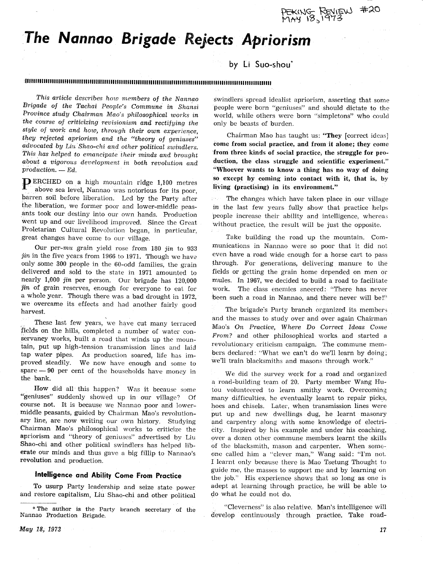PEKING REVIEW #20<br>MAY 18,1973

# The Nannao Brigade Rejects Apriorism

# by Li Suo-shou\*

## : (CONTINUES CHEMICAL CONTINUES CONTINUES CHEMICAL CONTINUES CONTINUES CONTINUES CONTINUES OF A CONTINUES OF C

This article describes how members of the Nannao Brigade of the Tachai People's Commune in Shansi Province study Chairman Mao's philosophical works in the course of criticizing revisionism and rectifying the style of work and how, through their own experience, they rejected apriorism and the "theory of geniuses" advocated by Liu Shao-chi and other political swindlers. This has helped to emancipate their minds and brought about a vigorous development in both revolution and  $production. - Ed.$ 

**PERCHED** on a high mountain ridge 1,100 metres above sea level, Nannao was notorious for its poor, barren soil before liberation. Led by the Party after the liberation, we former poor and lower-middle peasants took our destiny into our own hands. Production went up and our livelihood improved. Since the Great Proletarian Cultural Revolution began, in particular, great changes have come to our village.

Our per-mu grain yield rose from 180 jin to 933 jin in the five years from 1966 to 1971. Though we have only some 300 people in the 60-odd families, the grain delivered and sold to the state in 1971 amounted to nearly 1,000 jin per person. Our brigade has 120,000 jin of grain reserves, enough for everyone to eat for a whole year. Though there was a bad drought in 1972, we overcame its effects and had another fairly good harvest.

These last few years, we have cut many terraced fields on the hills, completed a number of water conservancy works, built a road that winds up the mountain, put up high-tension transmission lines and laid tap water pipes. As production soared, life has improved steadily. We now have enough and some to spare - 90 per cent of the households have money in the bank.

How did all this happen? Was it because some "geniuses" suddenly showed up in our village? Of course not. It is because we Nannao poor and lowermiddle peasants, guided by Chairman Mao's revolutionary line, are now writing our own history. Studying Chairman Mao's philosophical works to criticize the apriorism and "theory of geniuses" advertised by Liu Shao-chi and other political swindlers has helped liberate our minds and thus gave a big fillip to Nannao's revolution and production.

## Intelligence and Ability Come From Practice

To usurp Party leadership and seize state power and restore capitalism, Liu Shao-chi and other political swindlers spread idealist apriorism, asserting that some people were born "geniuses" and should dictate to the world, while others were born "simpletons" who could only be beasts of burden.

Chairman Mao has taught us: "They [correct ideas] come from social practice, and from it alone; they come from three kinds of social practice, the struggle for production, the class struggle and scientific experiment." "Whoever wants to know a thing has no way of doing so except by coming into contact with it, that is, by living (practising) in its environment."

The changes which have taken place in our village in the last few years fully show that practice helps people increase their ability and intelligence, whereas without practice, the result will be just the opposite.

Take building the road up the mountain. Communications in Nannao were so poor that it did not even have a road wide enough for a horse cart to pass through. For generations, delivering manure to the fields or getting the grain home depended on men or mules. In 1967, we decided to build a road to facilitate The class enemies sneered: "There has never work. been such a road in Nannao, and there never will be!"

The brigade's Party branch organized its members and the masses to study over and over again Chairman Mao's On Practice, Where Do Correct Ideas Come From? and other philosophical works and started a revolutionary criticism campaign. The commune members declared: "What we can't do we'll learn by doing; we'll train blacksmiths and masons through work."

We did the survey work for a road and organized a road-building team of 20. Party member Wang Hutou volunteered to learn smithy work. Overcoming many difficulties, he eventually learnt to repair picks, hoes and chisels. Later, when transmission lines were put up and new dwellings dug, he learnt masonry and carpentry along with some knowledge of electricity. Inspired by his example and under his coaching. over a dozen other commune members learnt the skills of the blacksmith, mason and carpenter. When someone called him a "clever man," Wang said: "I'm not. I learnt only because there is Mao Tsetung Thought to guide me, the masses to support me and by learning on the job." His experience shows that so long as one is adept at learning through practice, he will be able to do what he could not do.

"Cleverness" is also relative. Man's intelligence will develop continuously through practice. Take road-

<sup>\*</sup> The author is the Party branch secretary of the Nannao Production Brigade.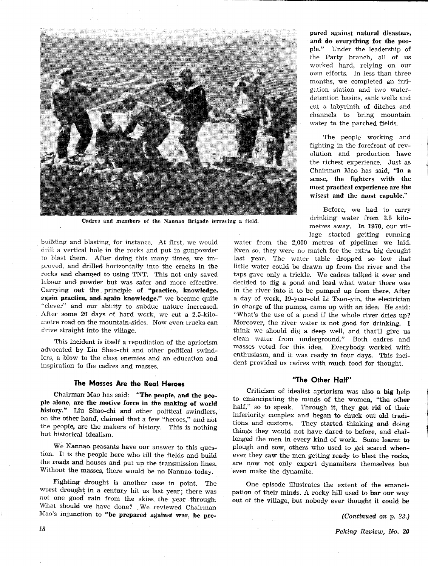

Cadres and members of the Nannao Brigade terracing a field.

building and blasting, for instance. At first, we would drill a vertical hole in the rocks and put in gunpowder to blast them. After doing this many times, we improved, and drilled horizontally into the cracks in the rocks and changed to using TNT. This not only saved labour and powder but was safer and more effective. Carrying out the principle of "practice, knowledge, again practice, and again knowledge," we became quite "clever" and our ability to subdue nature increased. After some 20 days of hard work, we cut a 2.5-kilometre road on the mountain-sides. Now even trucks can drive straight into the village.

This incident is itself a repudiation of the apriorism advocated by Liu Shao-chi and other political swindlers, a blow to the class enemies and an education and inspiration to the cadres and masses.

#### The Masses Are the Real Heroes

Chairman Mao has said: "The people, and the people alone, are the motive force in the making of world history." Liu Shao-chi and other political swindlers, on the other hand, claimed that a few "heroes," and not the people, are the makers of history. This is nothing but historical idealism.

We Nannao peasants have our answer to this question. It is the people here who till the fields and build the roads and houses and put up the transmission lines. Without the masses, there would be no Nannao today.

Fighting drought is another case in point. The worst drought in a century hit us last year; there was not one good rain from the skies the year through. What should we have done? We reviewed Chairman Mao's injunction to "be prepared against war, be prepared against natural disasters, and do everything for the people." Under the leadership of the Party branch, all of us worked hard, relying on our own efforts. In less than three months, we completed an irrigation station and two waterdetention basins, sank wells and cut a labyrinth of ditches and channels to bring mountain water to the parched fields.

The people working and fighting in the forefront of revolution and production have the richest experience. Just as Chairman Mao has said, "In a sense, the fighters with the most practical experience are the wisest and the most capable."

Before, we had to carry drinking water from 2.5 kilometres away. In 1970, our village started getting running

water from the 2,000 metres of pipelines we laid. Even so, they were no match for the extra big drought last year. The water table dropped so low that little water could be drawn up from the river and the taps gave only a trickle. We cadres talked it over and decided to dig a pond and lead what water there was in the river into it to be pumped up from there. After a day of work, 19-year-old Li Tsun-yin, the electrician in charge of the pumps, came up with an idea. He said: "What's the use of a pond if the whole river dries up? Moreover, the river water is not good for drinking. I think we should dig a deep well, and that'll give us clean water from underground." Both cadres and masses voted for this idea. Everybody worked with enthusiasm, and it was ready in four days. This incident provided us cadres with much food for thought.

#### "The Other Half"

Criticism of idealist apriorism was also a big help to emancipating the minds of the women, "the other half," so to speak. Through it, they got rid of their inferiority complex and began to chuck out old traditions and customs. They started thinking and doing things they would not have dared to before, and challenged the men in every kind of work. Some learnt to plough and sow, others who used to get scared whenever they saw the men getting ready to blast the rocks, are now not only expert dynamiters themselves but even make the dynamite.

One episode illustrates the extent of the emancipation of their minds. A rocky hill used to bar our way out of the village, but nobody ever thought it could be

(Continued on p. 23.)

Peking Review, No. 20